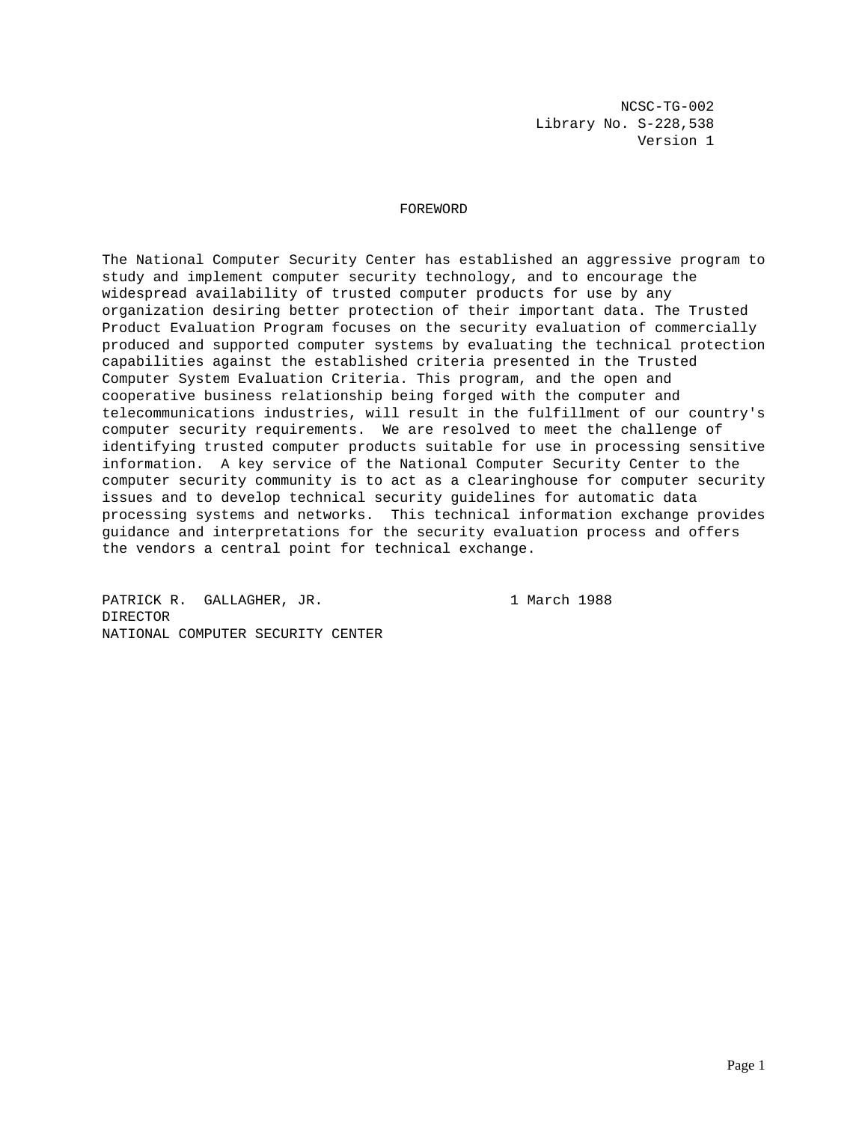NCSC-TG-002 Library No. S-228,538 Version 1

### FOREWORD

The National Computer Security Center has established an aggressive program to study and implement computer security technology, and to encourage the widespread availability of trusted computer products for use by any organization desiring better protection of their important data. The Trusted Product Evaluation Program focuses on the security evaluation of commercially produced and supported computer systems by evaluating the technical protection capabilities against the established criteria presented in the Trusted Computer System Evaluation Criteria. This program, and the open and cooperative business relationship being forged with the computer and telecommunications industries, will result in the fulfillment of our country's computer security requirements. We are resolved to meet the challenge of identifying trusted computer products suitable for use in processing sensitive information. A key service of the National Computer Security Center to the computer security community is to act as a clearinghouse for computer security issues and to develop technical security guidelines for automatic data processing systems and networks. This technical information exchange provides guidance and interpretations for the security evaluation process and offers the vendors a central point for technical exchange.

PATRICK R. GALLAGHER, JR. 1 March 1988 DIRECTOR NATIONAL COMPUTER SECURITY CENTER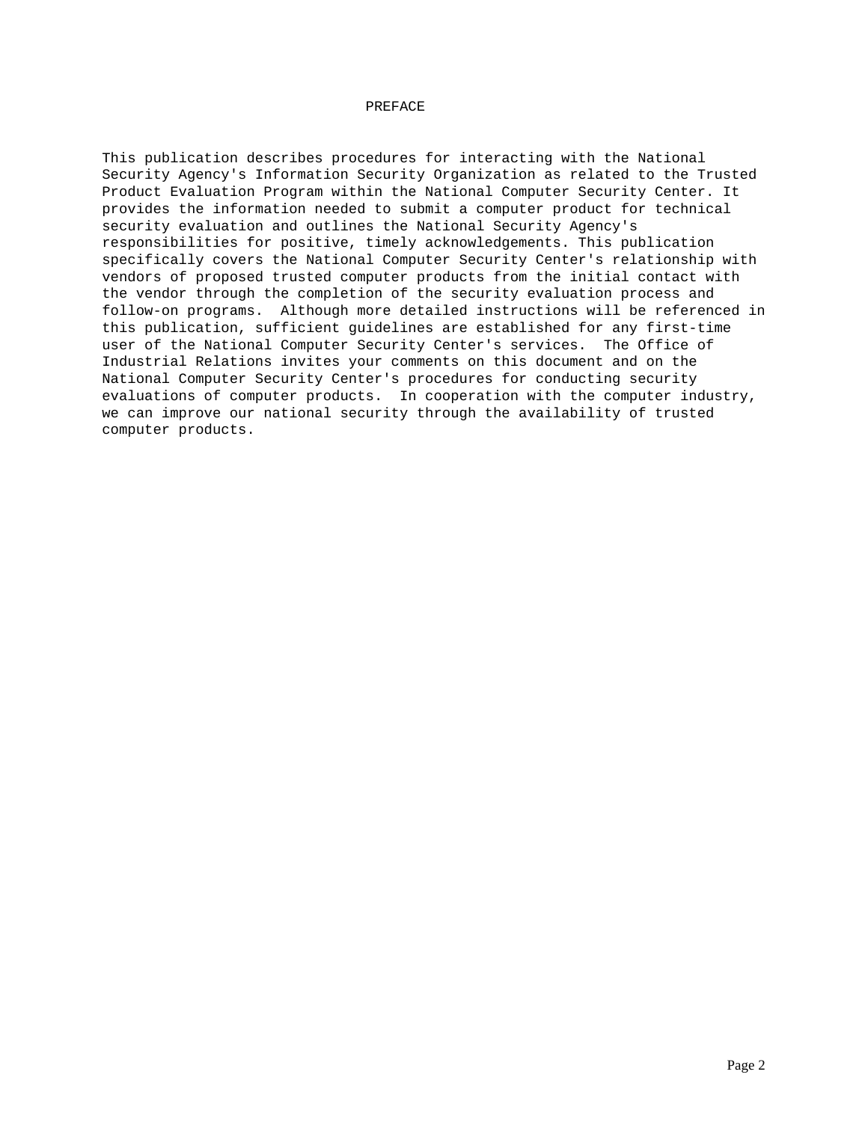## PREFACE

This publication describes procedures for interacting with the National Security Agency's Information Security Organization as related to the Trusted Product Evaluation Program within the National Computer Security Center. It provides the information needed to submit a computer product for technical security evaluation and outlines the National Security Agency's responsibilities for positive, timely acknowledgements. This publication specifically covers the National Computer Security Center's relationship with vendors of proposed trusted computer products from the initial contact with the vendor through the completion of the security evaluation process and follow-on programs. Although more detailed instructions will be referenced in this publication, sufficient guidelines are established for any first-time user of the National Computer Security Center's services. The Office of Industrial Relations invites your comments on this document and on the National Computer Security Center's procedures for conducting security evaluations of computer products. In cooperation with the computer industry, we can improve our national security through the availability of trusted computer products.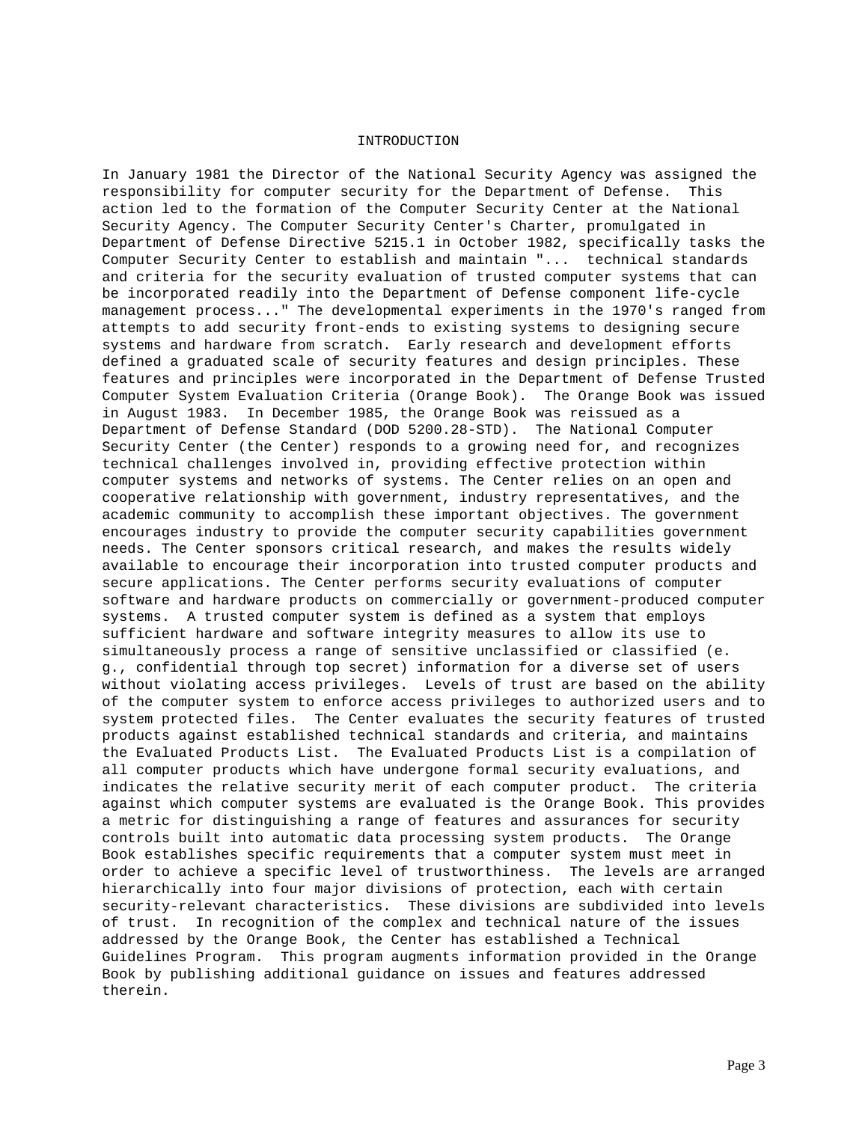#### INTRODUCTION

In January 1981 the Director of the National Security Agency was assigned the responsibility for computer security for the Department of Defense. This action led to the formation of the Computer Security Center at the National Security Agency. The Computer Security Center's Charter, promulgated in Department of Defense Directive 5215.1 in October 1982, specifically tasks the Computer Security Center to establish and maintain "... technical standards and criteria for the security evaluation of trusted computer systems that can be incorporated readily into the Department of Defense component life-cycle management process..." The developmental experiments in the 1970's ranged from attempts to add security front-ends to existing systems to designing secure systems and hardware from scratch. Early research and development efforts defined a graduated scale of security features and design principles. These features and principles were incorporated in the Department of Defense Trusted Computer System Evaluation Criteria (Orange Book). The Orange Book was issued in August 1983. In December 1985, the Orange Book was reissued as a Department of Defense Standard (DOD 5200.28-STD). The National Computer Security Center (the Center) responds to a growing need for, and recognizes technical challenges involved in, providing effective protection within computer systems and networks of systems. The Center relies on an open and cooperative relationship with government, industry representatives, and the academic community to accomplish these important objectives. The government encourages industry to provide the computer security capabilities government needs. The Center sponsors critical research, and makes the results widely available to encourage their incorporation into trusted computer products and secure applications. The Center performs security evaluations of computer software and hardware products on commercially or government-produced computer systems. A trusted computer system is defined as a system that employs sufficient hardware and software integrity measures to allow its use to simultaneously process a range of sensitive unclassified or classified (e. g., confidential through top secret) information for a diverse set of users without violating access privileges. Levels of trust are based on the ability of the computer system to enforce access privileges to authorized users and to system protected files. The Center evaluates the security features of trusted products against established technical standards and criteria, and maintains the Evaluated Products List. The Evaluated Products List is a compilation of all computer products which have undergone formal security evaluations, and indicates the relative security merit of each computer product. The criteria against which computer systems are evaluated is the Orange Book. This provides a metric for distinguishing a range of features and assurances for security controls built into automatic data processing system products. The Orange Book establishes specific requirements that a computer system must meet in order to achieve a specific level of trustworthiness. The levels are arranged hierarchically into four major divisions of protection, each with certain security-relevant characteristics. These divisions are subdivided into levels of trust. In recognition of the complex and technical nature of the issues addressed by the Orange Book, the Center has established a Technical Guidelines Program. This program augments information provided in the Orange Book by publishing additional guidance on issues and features addressed therein.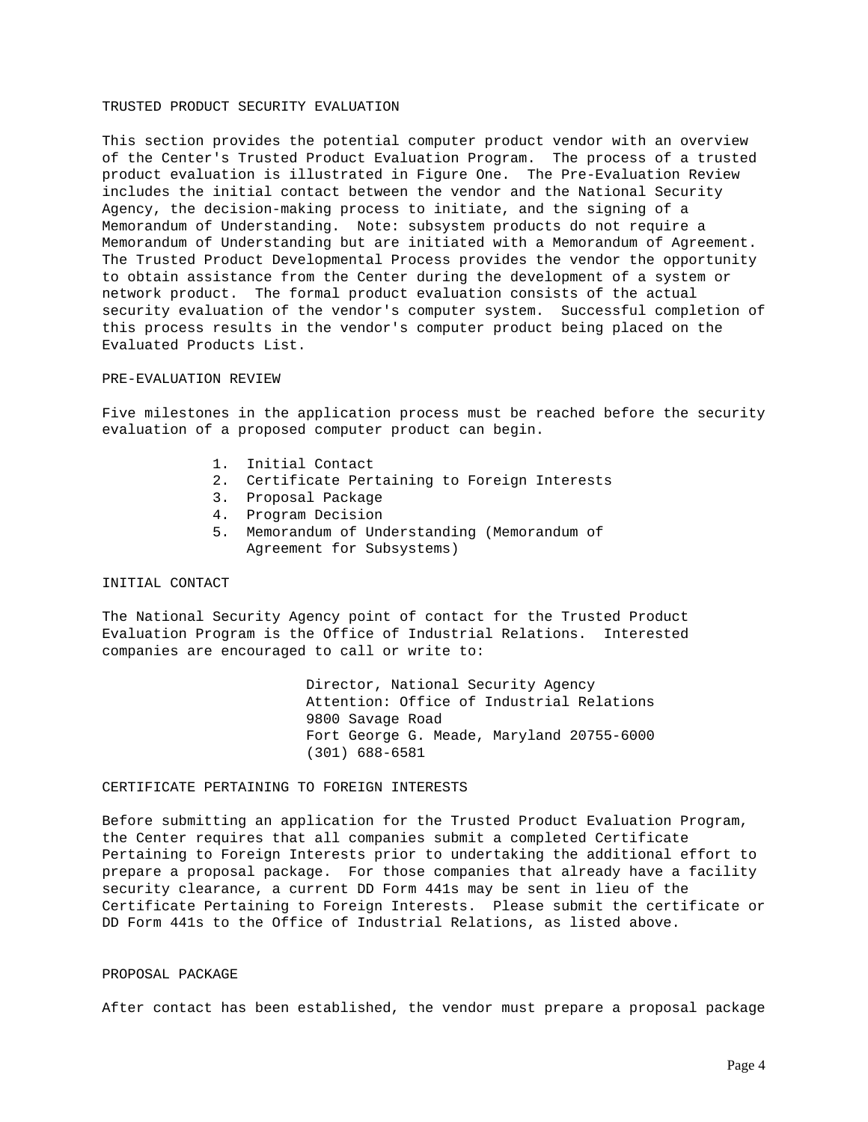### TRUSTED PRODUCT SECURITY EVALUATION

This section provides the potential computer product vendor with an overview of the Center's Trusted Product Evaluation Program. The process of a trusted product evaluation is illustrated in Figure One. The Pre-Evaluation Review includes the initial contact between the vendor and the National Security Agency, the decision-making process to initiate, and the signing of a Memorandum of Understanding. Note: subsystem products do not require a Memorandum of Understanding but are initiated with a Memorandum of Agreement. The Trusted Product Developmental Process provides the vendor the opportunity to obtain assistance from the Center during the development of a system or network product. The formal product evaluation consists of the actual security evaluation of the vendor's computer system. Successful completion of this process results in the vendor's computer product being placed on the Evaluated Products List.

## PRE-EVALUATION REVIEW

Five milestones in the application process must be reached before the security evaluation of a proposed computer product can begin.

- 1. Initial Contact
- 2. Certificate Pertaining to Foreign Interests
- 3. Proposal Package
- 4. Program Decision
- 5. Memorandum of Understanding (Memorandum of Agreement for Subsystems)

### INITIAL CONTACT

The National Security Agency point of contact for the Trusted Product Evaluation Program is the Office of Industrial Relations. Interested companies are encouraged to call or write to:

> Director, National Security Agency Attention: Office of Industrial Relations 9800 Savage Road Fort George G. Meade, Maryland 20755-6000 (301) 688-6581

# CERTIFICATE PERTAINING TO FOREIGN INTERESTS

Before submitting an application for the Trusted Product Evaluation Program, the Center requires that all companies submit a completed Certificate Pertaining to Foreign Interests prior to undertaking the additional effort to prepare a proposal package. For those companies that already have a facility security clearance, a current DD Form 441s may be sent in lieu of the Certificate Pertaining to Foreign Interests. Please submit the certificate or DD Form 441s to the Office of Industrial Relations, as listed above.

## PROPOSAL PACKAGE

After contact has been established, the vendor must prepare a proposal package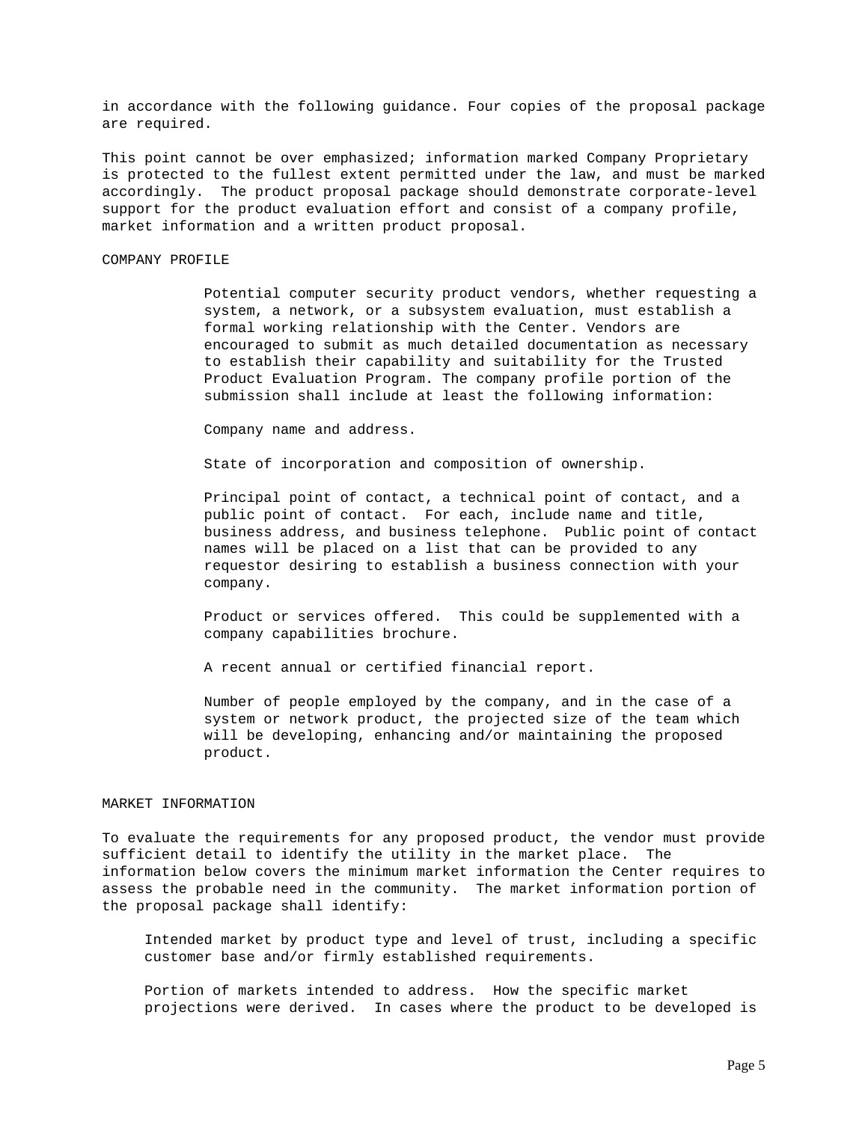in accordance with the following guidance. Four copies of the proposal package are required.

This point cannot be over emphasized; information marked Company Proprietary is protected to the fullest extent permitted under the law, and must be marked accordingly. The product proposal package should demonstrate corporate-level support for the product evaluation effort and consist of a company profile, market information and a written product proposal.

### COMPANY PROFILE

Potential computer security product vendors, whether requesting a system, a network, or a subsystem evaluation, must establish a formal working relationship with the Center. Vendors are encouraged to submit as much detailed documentation as necessary to establish their capability and suitability for the Trusted Product Evaluation Program. The company profile portion of the submission shall include at least the following information:

Company name and address.

State of incorporation and composition of ownership.

Principal point of contact, a technical point of contact, and a public point of contact. For each, include name and title, business address, and business telephone. Public point of contact names will be placed on a list that can be provided to any requestor desiring to establish a business connection with your company.

Product or services offered. This could be supplemented with a company capabilities brochure.

A recent annual or certified financial report.

Number of people employed by the company, and in the case of a system or network product, the projected size of the team which will be developing, enhancing and/or maintaining the proposed product.

## MARKET INFORMATION

To evaluate the requirements for any proposed product, the vendor must provide sufficient detail to identify the utility in the market place. The information below covers the minimum market information the Center requires to assess the probable need in the community. The market information portion of the proposal package shall identify:

 Intended market by product type and level of trust, including a specific customer base and/or firmly established requirements.

 Portion of markets intended to address. How the specific market projections were derived. In cases where the product to be developed is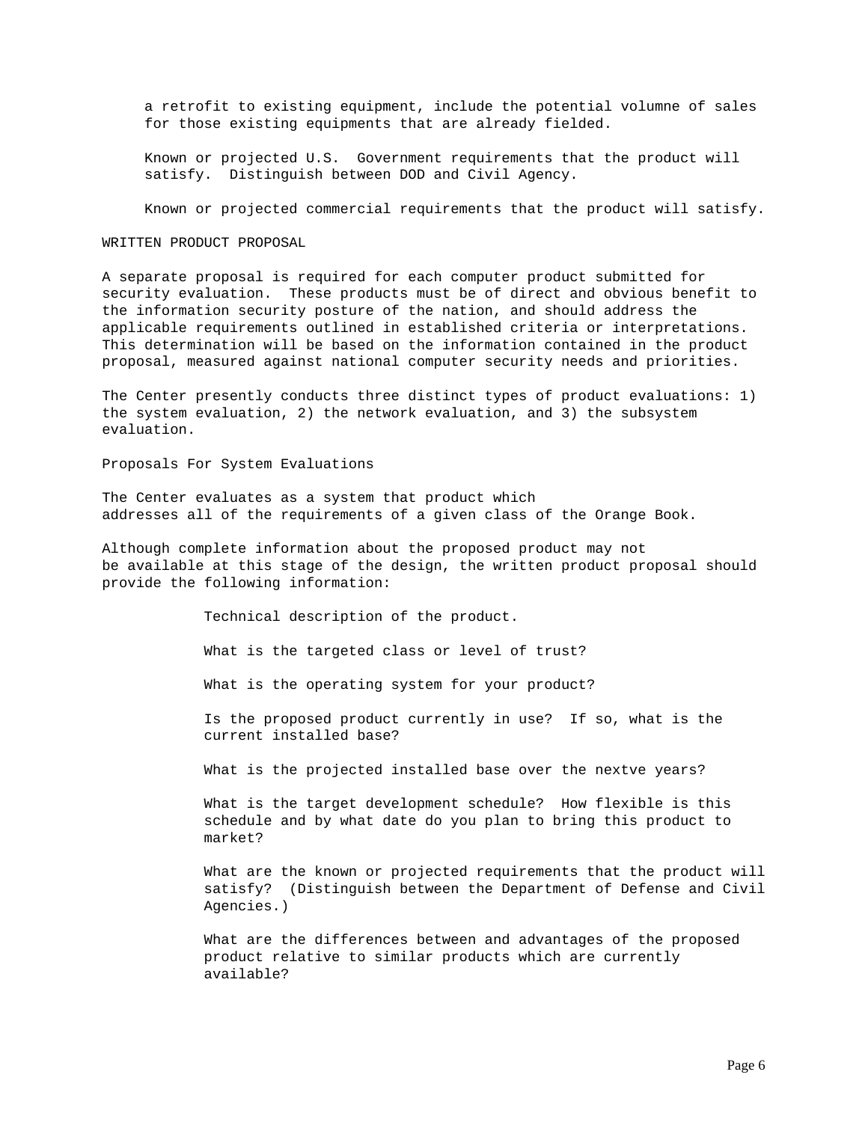a retrofit to existing equipment, include the potential volumne of sales for those existing equipments that are already fielded.

 Known or projected U.S. Government requirements that the product will satisfy. Distinguish between DOD and Civil Agency.

Known or projected commercial requirements that the product will satisfy.

WRITTEN PRODUCT PROPOSAL

A separate proposal is required for each computer product submitted for security evaluation. These products must be of direct and obvious benefit to the information security posture of the nation, and should address the applicable requirements outlined in established criteria or interpretations. This determination will be based on the information contained in the product proposal, measured against national computer security needs and priorities.

The Center presently conducts three distinct types of product evaluations: 1) the system evaluation, 2) the network evaluation, and 3) the subsystem evaluation.

Proposals For System Evaluations

The Center evaluates as a system that product which addresses all of the requirements of a given class of the Orange Book.

Although complete information about the proposed product may not be available at this stage of the design, the written product proposal should provide the following information:

> Technical description of the product. What is the targeted class or level of trust? What is the operating system for your product? Is the proposed product currently in use? If so, what is the current installed base? What is the projected installed base over the nextve years? What is the target development schedule? How flexible is this schedule and by what date do you plan to bring this product to market?

What are the known or projected requirements that the product will satisfy? (Distinguish between the Department of Defense and Civil Agencies.)

What are the differences between and advantages of the proposed product relative to similar products which are currently available?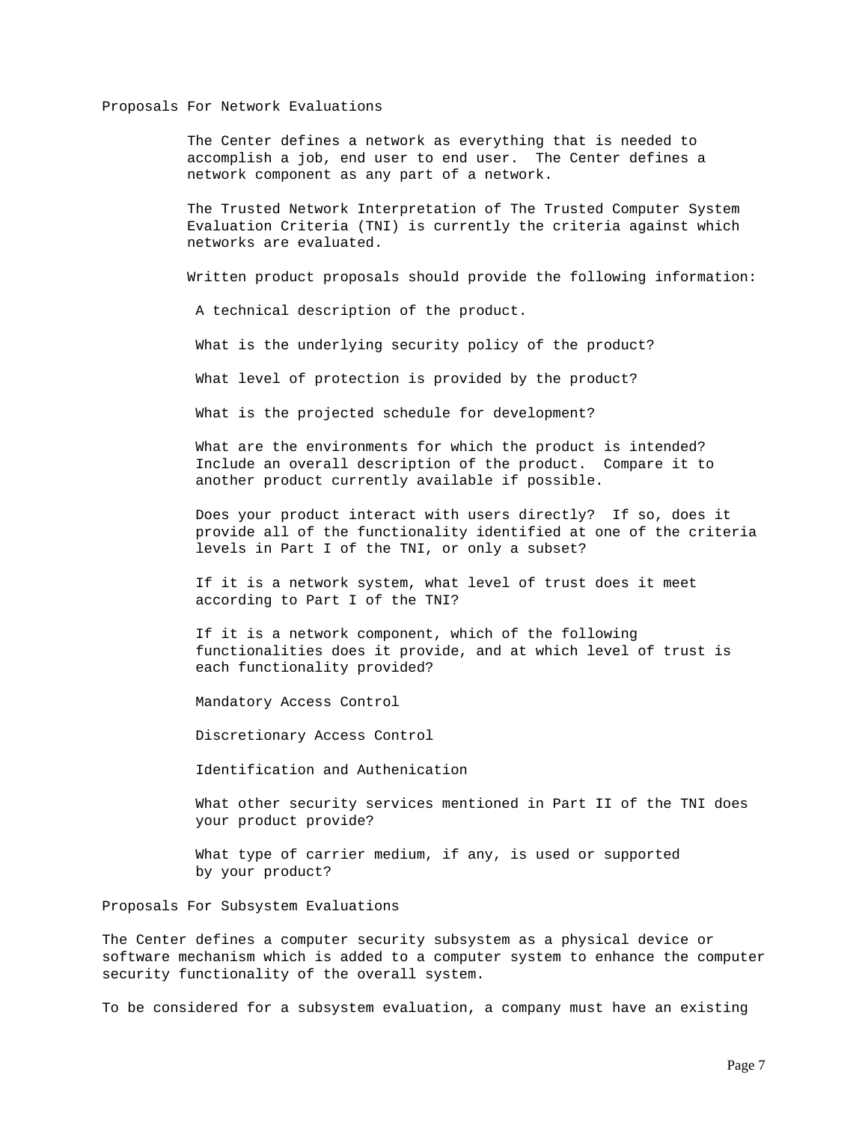#### Proposals For Network Evaluations

 The Center defines a network as everything that is needed to accomplish a job, end user to end user. The Center defines a network component as any part of a network.

 The Trusted Network Interpretation of The Trusted Computer System Evaluation Criteria (TNI) is currently the criteria against which networks are evaluated.

Written product proposals should provide the following information:

A technical description of the product.

What is the underlying security policy of the product?

What level of protection is provided by the product?

What is the projected schedule for development?

 What are the environments for which the product is intended? Include an overall description of the product. Compare it to another product currently available if possible.

 Does your product interact with users directly? If so, does it provide all of the functionality identified at one of the criteria levels in Part I of the TNI, or only a subset?

 If it is a network system, what level of trust does it meet according to Part I of the TNI?

 If it is a network component, which of the following functionalities does it provide, and at which level of trust is each functionality provided?

Mandatory Access Control

Discretionary Access Control

Identification and Authenication

 What other security services mentioned in Part II of the TNI does your product provide?

 What type of carrier medium, if any, is used or supported by your product?

Proposals For Subsystem Evaluations

The Center defines a computer security subsystem as a physical device or software mechanism which is added to a computer system to enhance the computer security functionality of the overall system.

To be considered for a subsystem evaluation, a company must have an existing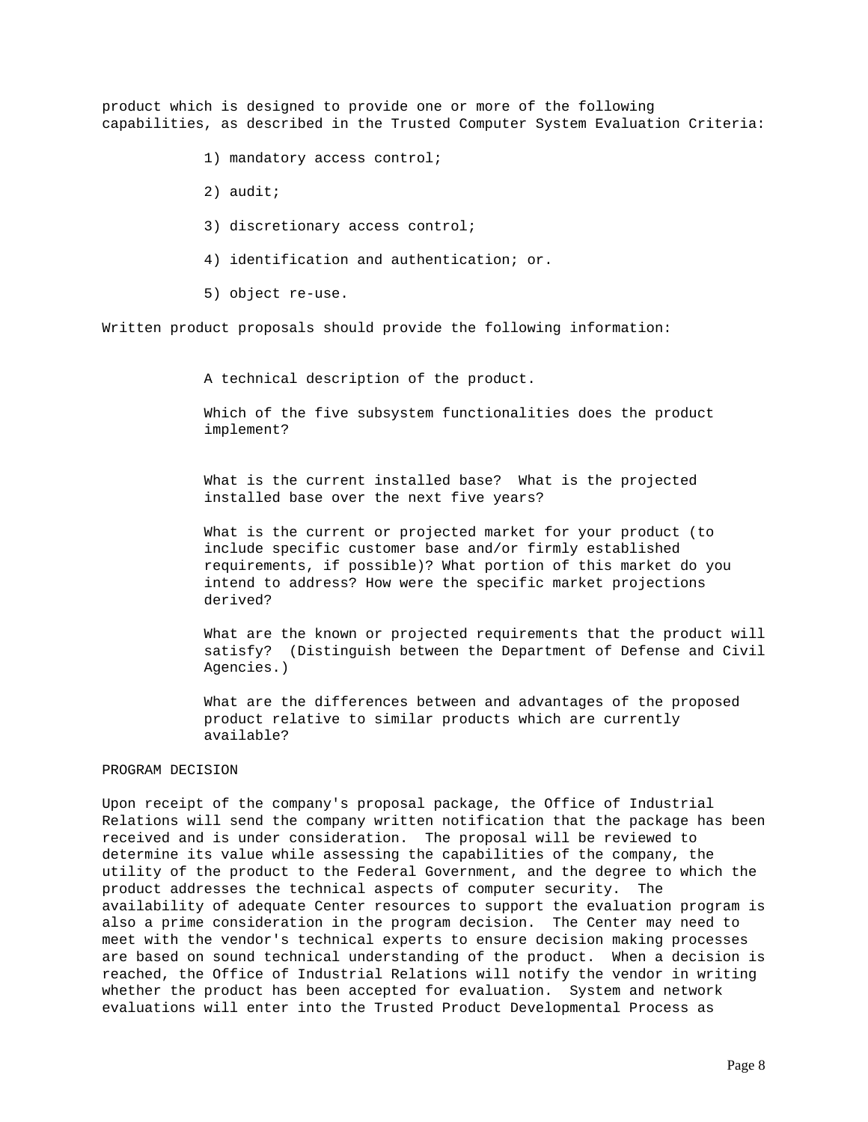product which is designed to provide one or more of the following capabilities, as described in the Trusted Computer System Evaluation Criteria:

- 1) mandatory access control;
- 2) audit;
- 3) discretionary access control;
- 4) identification and authentication; or.
- 5) object re-use.

Written product proposals should provide the following information:

A technical description of the product.

Which of the five subsystem functionalities does the product implement?

What is the current installed base? What is the projected installed base over the next five years?

What is the current or projected market for your product (to include specific customer base and/or firmly established requirements, if possible)? What portion of this market do you intend to address? How were the specific market projections derived?

What are the known or projected requirements that the product will satisfy? (Distinguish between the Department of Defense and Civil Agencies.)

What are the differences between and advantages of the proposed product relative to similar products which are currently available?

### PROGRAM DECISION

Upon receipt of the company's proposal package, the Office of Industrial Relations will send the company written notification that the package has been received and is under consideration. The proposal will be reviewed to determine its value while assessing the capabilities of the company, the utility of the product to the Federal Government, and the degree to which the product addresses the technical aspects of computer security. The availability of adequate Center resources to support the evaluation program is also a prime consideration in the program decision. The Center may need to meet with the vendor's technical experts to ensure decision making processes are based on sound technical understanding of the product. When a decision is reached, the Office of Industrial Relations will notify the vendor in writing whether the product has been accepted for evaluation. System and network evaluations will enter into the Trusted Product Developmental Process as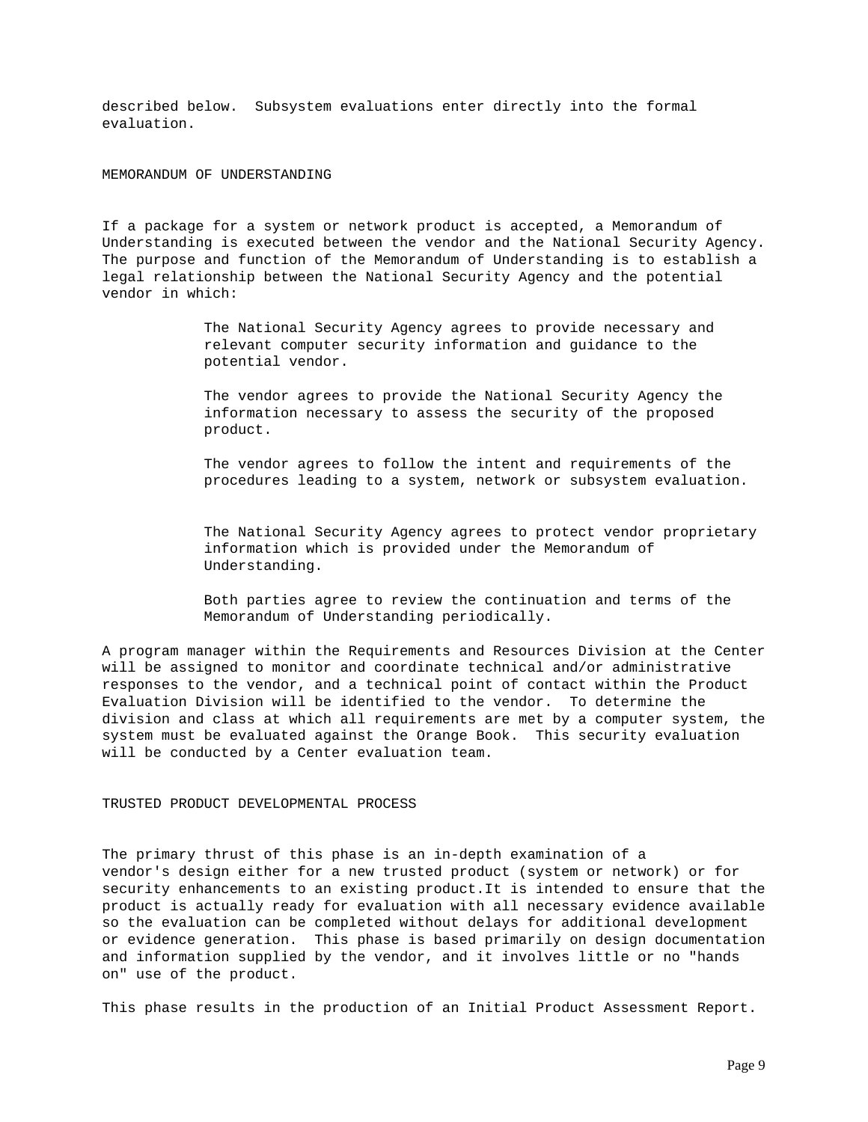described below. Subsystem evaluations enter directly into the formal evaluation.

MEMORANDUM OF UNDERSTANDING

If a package for a system or network product is accepted, a Memorandum of Understanding is executed between the vendor and the National Security Agency. The purpose and function of the Memorandum of Understanding is to establish a legal relationship between the National Security Agency and the potential vendor in which:

> The National Security Agency agrees to provide necessary and relevant computer security information and guidance to the potential vendor.

The vendor agrees to provide the National Security Agency the information necessary to assess the security of the proposed product.

The vendor agrees to follow the intent and requirements of the procedures leading to a system, network or subsystem evaluation.

The National Security Agency agrees to protect vendor proprietary information which is provided under the Memorandum of Understanding.

Both parties agree to review the continuation and terms of the Memorandum of Understanding periodically.

A program manager within the Requirements and Resources Division at the Center will be assigned to monitor and coordinate technical and/or administrative responses to the vendor, and a technical point of contact within the Product Evaluation Division will be identified to the vendor. To determine the division and class at which all requirements are met by a computer system, the system must be evaluated against the Orange Book. This security evaluation will be conducted by a Center evaluation team.

TRUSTED PRODUCT DEVELOPMENTAL PROCESS

The primary thrust of this phase is an in-depth examination of a vendor's design either for a new trusted product (system or network) or for security enhancements to an existing product.It is intended to ensure that the product is actually ready for evaluation with all necessary evidence available so the evaluation can be completed without delays for additional development or evidence generation. This phase is based primarily on design documentation and information supplied by the vendor, and it involves little or no "hands on" use of the product.

This phase results in the production of an Initial Product Assessment Report.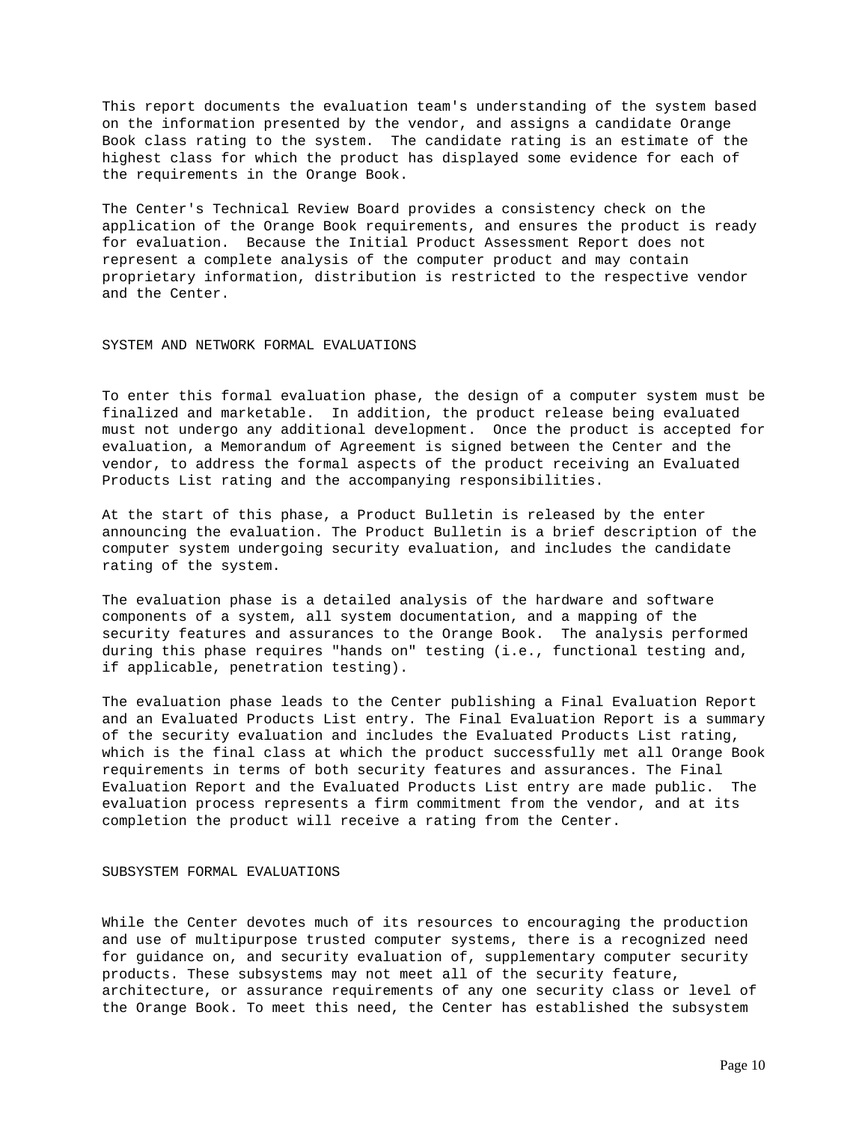This report documents the evaluation team's understanding of the system based on the information presented by the vendor, and assigns a candidate Orange Book class rating to the system. The candidate rating is an estimate of the highest class for which the product has displayed some evidence for each of the requirements in the Orange Book.

The Center's Technical Review Board provides a consistency check on the application of the Orange Book requirements, and ensures the product is ready for evaluation. Because the Initial Product Assessment Report does not represent a complete analysis of the computer product and may contain proprietary information, distribution is restricted to the respective vendor and the Center.

SYSTEM AND NETWORK FORMAL EVALUATIONS

To enter this formal evaluation phase, the design of a computer system must be finalized and marketable. In addition, the product release being evaluated must not undergo any additional development. Once the product is accepted for evaluation, a Memorandum of Agreement is signed between the Center and the vendor, to address the formal aspects of the product receiving an Evaluated Products List rating and the accompanying responsibilities.

At the start of this phase, a Product Bulletin is released by the enter announcing the evaluation. The Product Bulletin is a brief description of the computer system undergoing security evaluation, and includes the candidate rating of the system.

The evaluation phase is a detailed analysis of the hardware and software components of a system, all system documentation, and a mapping of the security features and assurances to the Orange Book. The analysis performed during this phase requires "hands on" testing (i.e., functional testing and, if applicable, penetration testing).

The evaluation phase leads to the Center publishing a Final Evaluation Report and an Evaluated Products List entry. The Final Evaluation Report is a summary of the security evaluation and includes the Evaluated Products List rating, which is the final class at which the product successfully met all Orange Book requirements in terms of both security features and assurances. The Final Evaluation Report and the Evaluated Products List entry are made public. The evaluation process represents a firm commitment from the vendor, and at its completion the product will receive a rating from the Center.

# SUBSYSTEM FORMAL EVALUATIONS

While the Center devotes much of its resources to encouraging the production and use of multipurpose trusted computer systems, there is a recognized need for guidance on, and security evaluation of, supplementary computer security products. These subsystems may not meet all of the security feature, architecture, or assurance requirements of any one security class or level of the Orange Book. To meet this need, the Center has established the subsystem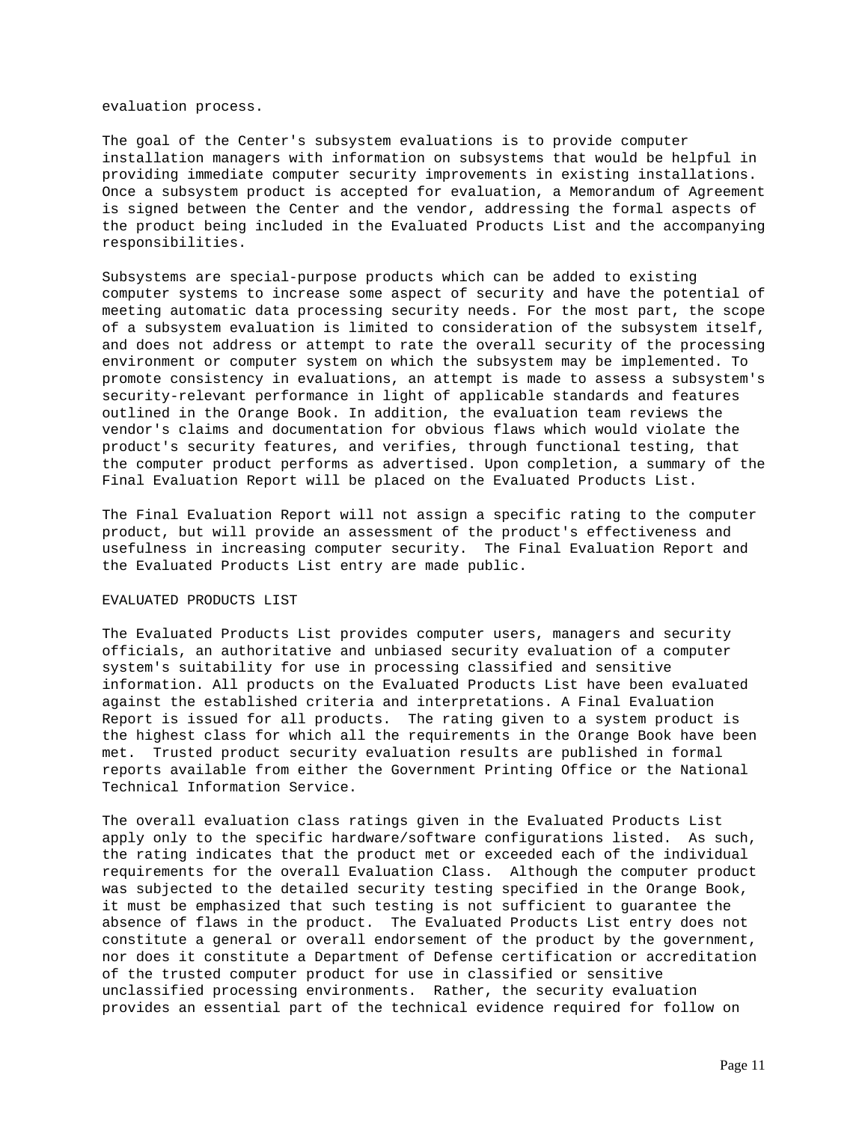evaluation process.

The goal of the Center's subsystem evaluations is to provide computer installation managers with information on subsystems that would be helpful in providing immediate computer security improvements in existing installations. Once a subsystem product is accepted for evaluation, a Memorandum of Agreement is signed between the Center and the vendor, addressing the formal aspects of the product being included in the Evaluated Products List and the accompanying responsibilities.

Subsystems are special-purpose products which can be added to existing computer systems to increase some aspect of security and have the potential of meeting automatic data processing security needs. For the most part, the scope of a subsystem evaluation is limited to consideration of the subsystem itself, and does not address or attempt to rate the overall security of the processing environment or computer system on which the subsystem may be implemented. To promote consistency in evaluations, an attempt is made to assess a subsystem's security-relevant performance in light of applicable standards and features outlined in the Orange Book. In addition, the evaluation team reviews the vendor's claims and documentation for obvious flaws which would violate the product's security features, and verifies, through functional testing, that the computer product performs as advertised. Upon completion, a summary of the Final Evaluation Report will be placed on the Evaluated Products List.

The Final Evaluation Report will not assign a specific rating to the computer product, but will provide an assessment of the product's effectiveness and usefulness in increasing computer security. The Final Evaluation Report and the Evaluated Products List entry are made public.

### EVALUATED PRODUCTS LIST

The Evaluated Products List provides computer users, managers and security officials, an authoritative and unbiased security evaluation of a computer system's suitability for use in processing classified and sensitive information. All products on the Evaluated Products List have been evaluated against the established criteria and interpretations. A Final Evaluation Report is issued for all products. The rating given to a system product is the highest class for which all the requirements in the Orange Book have been met. Trusted product security evaluation results are published in formal reports available from either the Government Printing Office or the National Technical Information Service.

The overall evaluation class ratings given in the Evaluated Products List apply only to the specific hardware/software configurations listed. As such, the rating indicates that the product met or exceeded each of the individual requirements for the overall Evaluation Class. Although the computer product was subjected to the detailed security testing specified in the Orange Book, it must be emphasized that such testing is not sufficient to guarantee the absence of flaws in the product. The Evaluated Products List entry does not constitute a general or overall endorsement of the product by the government, nor does it constitute a Department of Defense certification or accreditation of the trusted computer product for use in classified or sensitive unclassified processing environments. Rather, the security evaluation provides an essential part of the technical evidence required for follow on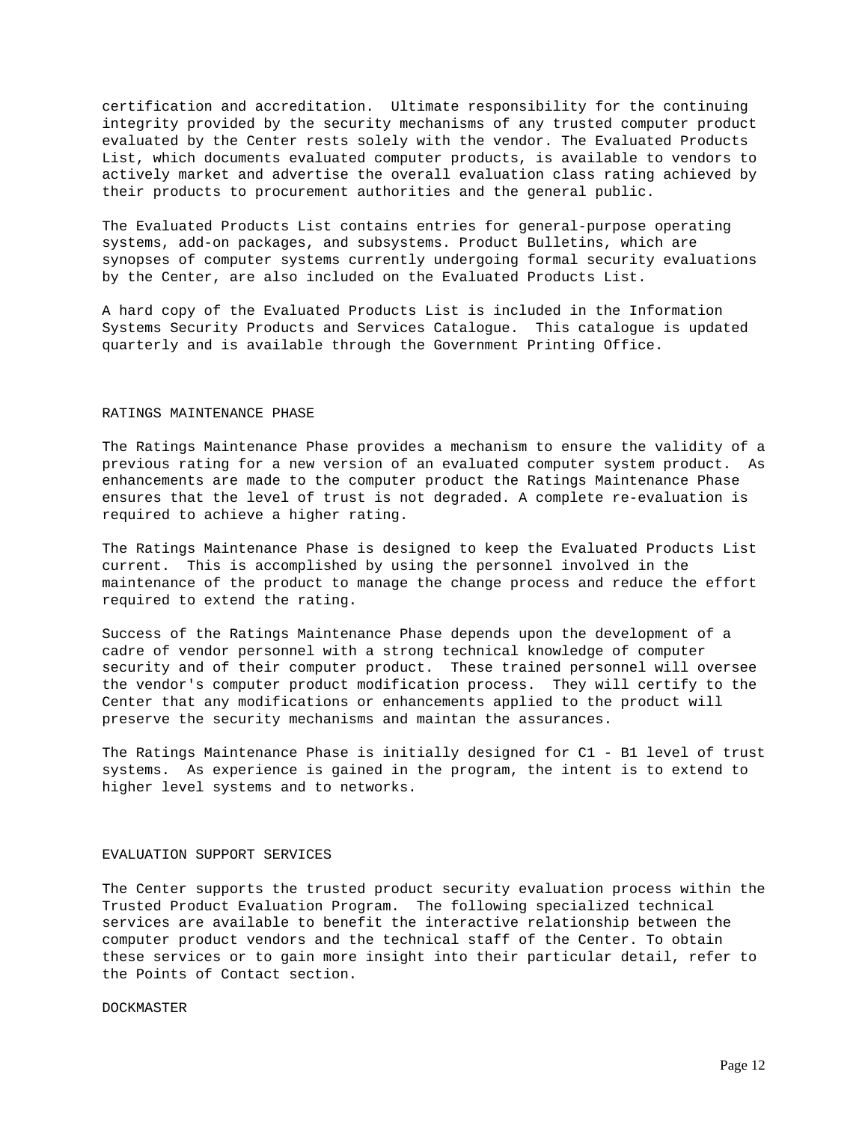certification and accreditation. Ultimate responsibility for the continuing integrity provided by the security mechanisms of any trusted computer product evaluated by the Center rests solely with the vendor. The Evaluated Products List, which documents evaluated computer products, is available to vendors to actively market and advertise the overall evaluation class rating achieved by their products to procurement authorities and the general public.

The Evaluated Products List contains entries for general-purpose operating systems, add-on packages, and subsystems. Product Bulletins, which are synopses of computer systems currently undergoing formal security evaluations by the Center, are also included on the Evaluated Products List.

A hard copy of the Evaluated Products List is included in the Information Systems Security Products and Services Catalogue. This catalogue is updated quarterly and is available through the Government Printing Office.

# RATINGS MAINTENANCE PHASE

The Ratings Maintenance Phase provides a mechanism to ensure the validity of a previous rating for a new version of an evaluated computer system product. As enhancements are made to the computer product the Ratings Maintenance Phase ensures that the level of trust is not degraded. A complete re-evaluation is required to achieve a higher rating.

The Ratings Maintenance Phase is designed to keep the Evaluated Products List current. This is accomplished by using the personnel involved in the maintenance of the product to manage the change process and reduce the effort required to extend the rating.

Success of the Ratings Maintenance Phase depends upon the development of a cadre of vendor personnel with a strong technical knowledge of computer security and of their computer product. These trained personnel will oversee the vendor's computer product modification process. They will certify to the Center that any modifications or enhancements applied to the product will preserve the security mechanisms and maintan the assurances.

The Ratings Maintenance Phase is initially designed for C1 - B1 level of trust systems. As experience is gained in the program, the intent is to extend to higher level systems and to networks.

### EVALUATION SUPPORT SERVICES

The Center supports the trusted product security evaluation process within the Trusted Product Evaluation Program. The following specialized technical services are available to benefit the interactive relationship between the computer product vendors and the technical staff of the Center. To obtain these services or to gain more insight into their particular detail, refer to the Points of Contact section.

## DOCKMASTER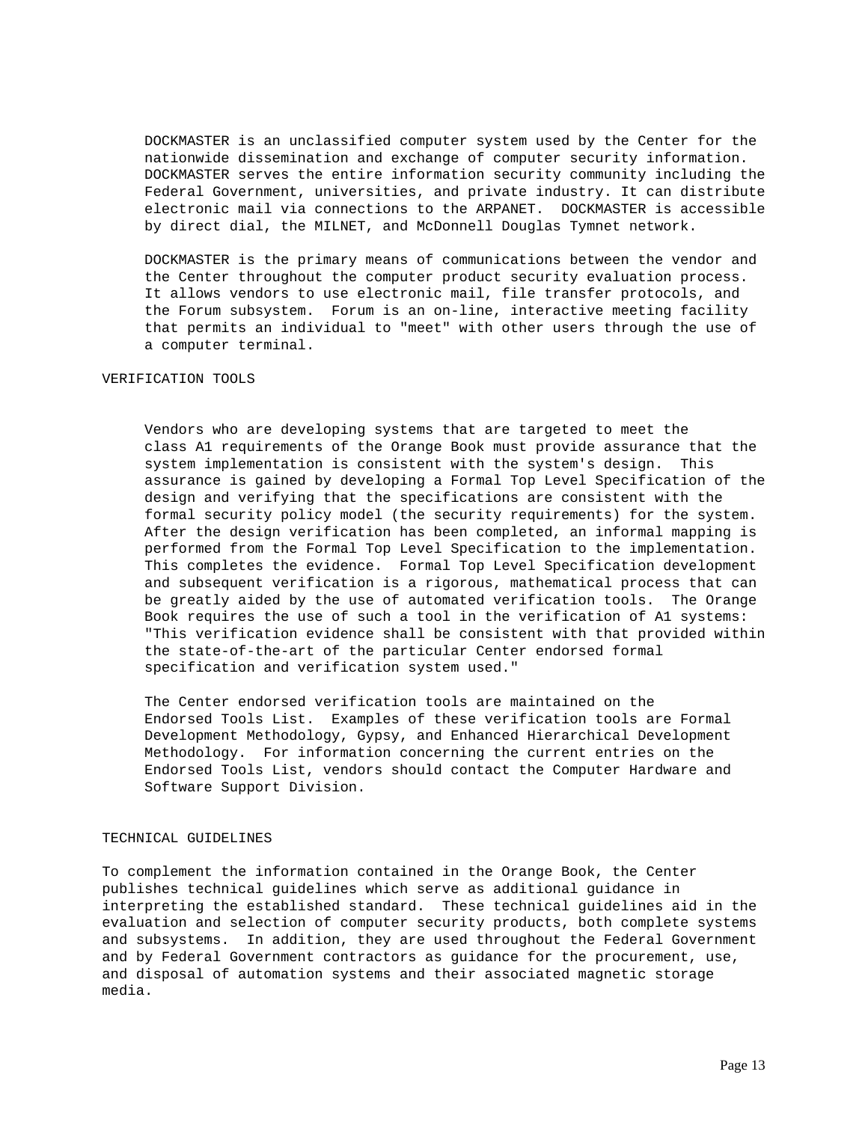DOCKMASTER is an unclassified computer system used by the Center for the nationwide dissemination and exchange of computer security information. DOCKMASTER serves the entire information security community including the Federal Government, universities, and private industry. It can distribute electronic mail via connections to the ARPANET. DOCKMASTER is accessible by direct dial, the MILNET, and McDonnell Douglas Tymnet network.

 DOCKMASTER is the primary means of communications between the vendor and the Center throughout the computer product security evaluation process. It allows vendors to use electronic mail, file transfer protocols, and the Forum subsystem. Forum is an on-line, interactive meeting facility that permits an individual to "meet" with other users through the use of a computer terminal.

# VERIFICATION TOOLS

 Vendors who are developing systems that are targeted to meet the class A1 requirements of the Orange Book must provide assurance that the system implementation is consistent with the system's design. This assurance is gained by developing a Formal Top Level Specification of the design and verifying that the specifications are consistent with the formal security policy model (the security requirements) for the system. After the design verification has been completed, an informal mapping is performed from the Formal Top Level Specification to the implementation. This completes the evidence. Formal Top Level Specification development and subsequent verification is a rigorous, mathematical process that can be greatly aided by the use of automated verification tools. The Orange Book requires the use of such a tool in the verification of A1 systems: "This verification evidence shall be consistent with that provided within the state-of-the-art of the particular Center endorsed formal specification and verification system used."

 The Center endorsed verification tools are maintained on the Endorsed Tools List. Examples of these verification tools are Formal Development Methodology, Gypsy, and Enhanced Hierarchical Development Methodology. For information concerning the current entries on the Endorsed Tools List, vendors should contact the Computer Hardware and Software Support Division.

## TECHNICAL GUIDELINES

To complement the information contained in the Orange Book, the Center publishes technical guidelines which serve as additional guidance in interpreting the established standard. These technical guidelines aid in the evaluation and selection of computer security products, both complete systems and subsystems. In addition, they are used throughout the Federal Government and by Federal Government contractors as guidance for the procurement, use, and disposal of automation systems and their associated magnetic storage media.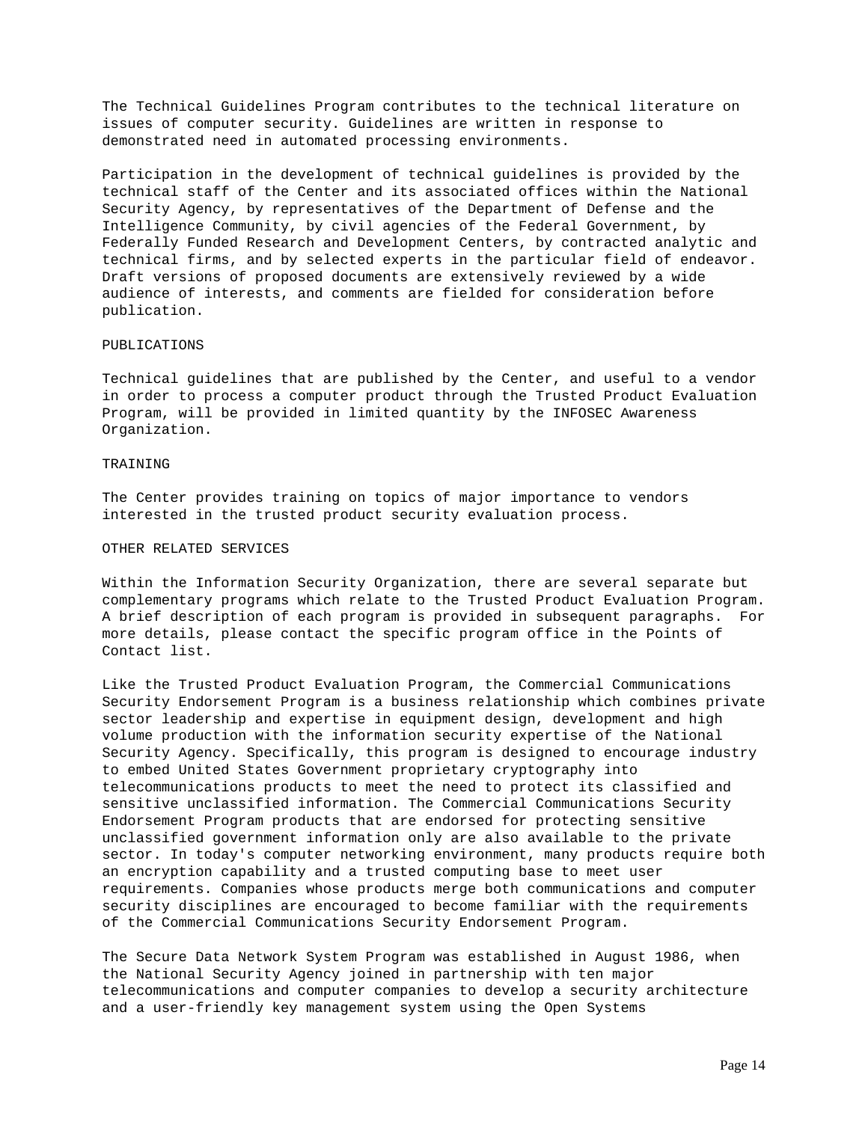The Technical Guidelines Program contributes to the technical literature on issues of computer security. Guidelines are written in response to demonstrated need in automated processing environments.

Participation in the development of technical guidelines is provided by the technical staff of the Center and its associated offices within the National Security Agency, by representatives of the Department of Defense and the Intelligence Community, by civil agencies of the Federal Government, by Federally Funded Research and Development Centers, by contracted analytic and technical firms, and by selected experts in the particular field of endeavor. Draft versions of proposed documents are extensively reviewed by a wide audience of interests, and comments are fielded for consideration before publication.

### PUBLICATIONS

Technical guidelines that are published by the Center, and useful to a vendor in order to process a computer product through the Trusted Product Evaluation Program, will be provided in limited quantity by the INFOSEC Awareness Organization.

## TRAINING

The Center provides training on topics of major importance to vendors interested in the trusted product security evaluation process.

#### OTHER RELATED SERVICES

Within the Information Security Organization, there are several separate but complementary programs which relate to the Trusted Product Evaluation Program. A brief description of each program is provided in subsequent paragraphs. For more details, please contact the specific program office in the Points of Contact list.

Like the Trusted Product Evaluation Program, the Commercial Communications Security Endorsement Program is a business relationship which combines private sector leadership and expertise in equipment design, development and high volume production with the information security expertise of the National Security Agency. Specifically, this program is designed to encourage industry to embed United States Government proprietary cryptography into telecommunications products to meet the need to protect its classified and sensitive unclassified information. The Commercial Communications Security Endorsement Program products that are endorsed for protecting sensitive unclassified government information only are also available to the private sector. In today's computer networking environment, many products require both an encryption capability and a trusted computing base to meet user requirements. Companies whose products merge both communications and computer security disciplines are encouraged to become familiar with the requirements of the Commercial Communications Security Endorsement Program.

The Secure Data Network System Program was established in August 1986, when the National Security Agency joined in partnership with ten major telecommunications and computer companies to develop a security architecture and a user-friendly key management system using the Open Systems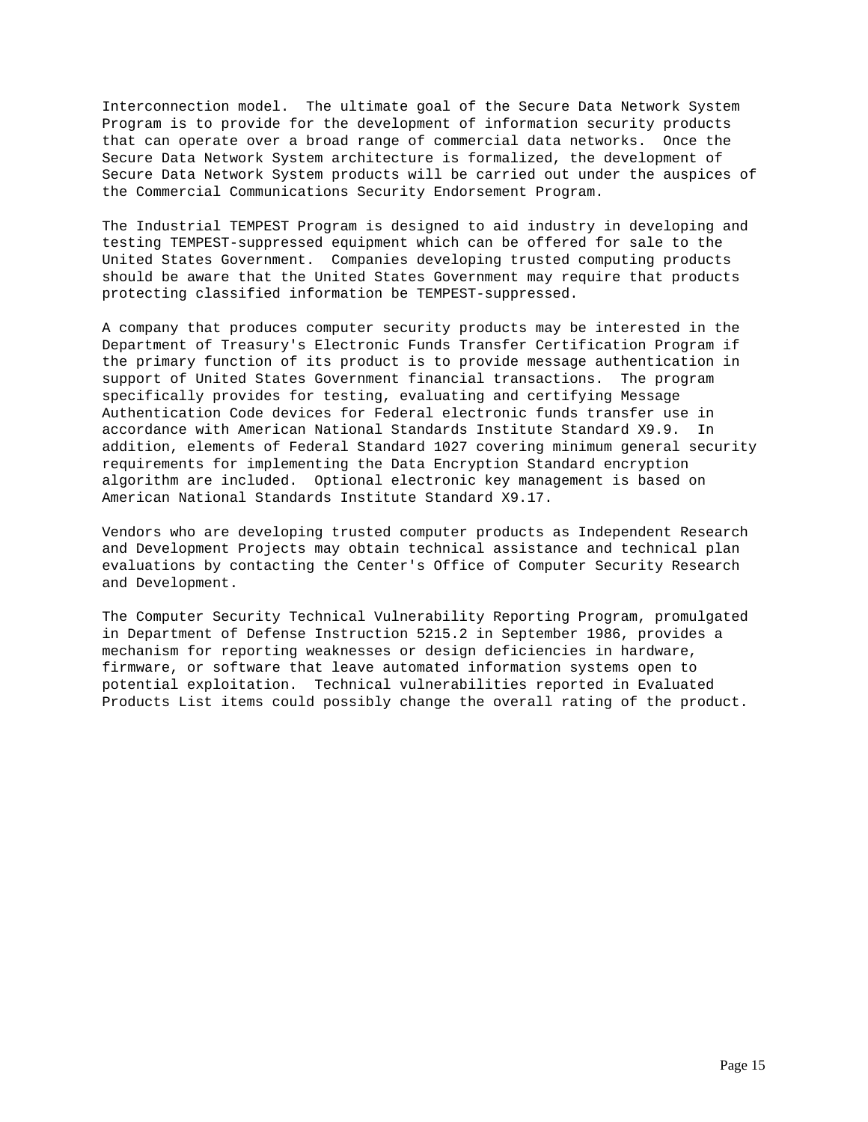Interconnection model. The ultimate goal of the Secure Data Network System Program is to provide for the development of information security products that can operate over a broad range of commercial data networks. Once the Secure Data Network System architecture is formalized, the development of Secure Data Network System products will be carried out under the auspices of the Commercial Communications Security Endorsement Program.

The Industrial TEMPEST Program is designed to aid industry in developing and testing TEMPEST-suppressed equipment which can be offered for sale to the United States Government. Companies developing trusted computing products should be aware that the United States Government may require that products protecting classified information be TEMPEST-suppressed.

A company that produces computer security products may be interested in the Department of Treasury's Electronic Funds Transfer Certification Program if the primary function of its product is to provide message authentication in support of United States Government financial transactions. The program specifically provides for testing, evaluating and certifying Message Authentication Code devices for Federal electronic funds transfer use in accordance with American National Standards Institute Standard X9.9. In addition, elements of Federal Standard 1027 covering minimum general security requirements for implementing the Data Encryption Standard encryption algorithm are included. Optional electronic key management is based on American National Standards Institute Standard X9.17.

Vendors who are developing trusted computer products as Independent Research and Development Projects may obtain technical assistance and technical plan evaluations by contacting the Center's Office of Computer Security Research and Development.

The Computer Security Technical Vulnerability Reporting Program, promulgated in Department of Defense Instruction 5215.2 in September 1986, provides a mechanism for reporting weaknesses or design deficiencies in hardware, firmware, or software that leave automated information systems open to potential exploitation. Technical vulnerabilities reported in Evaluated Products List items could possibly change the overall rating of the product.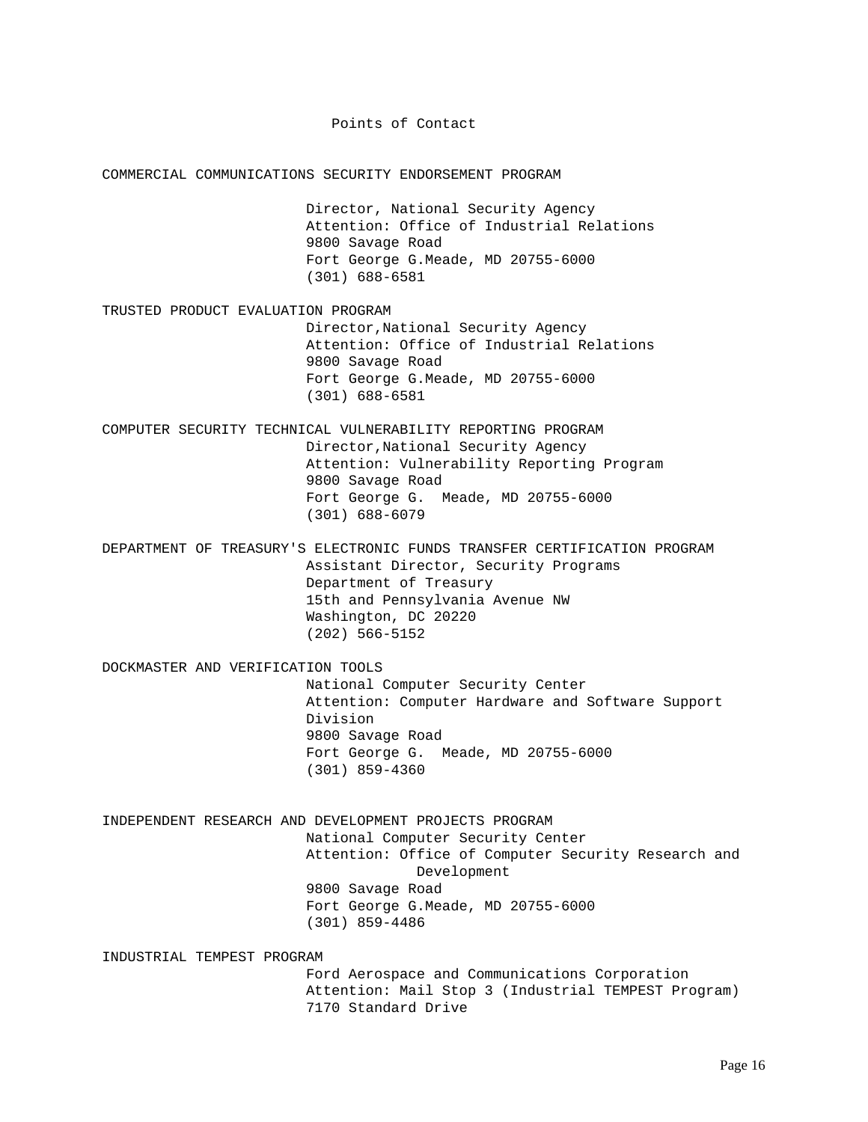Points of Contact COMMERCIAL COMMUNICATIONS SECURITY ENDORSEMENT PROGRAM Director, National Security Agency Attention: Office of Industrial Relations 9800 Savage Road Fort George G.Meade, MD 20755-6000 (301) 688-6581 TRUSTED PRODUCT EVALUATION PROGRAM Director,National Security Agency Attention: Office of Industrial Relations 9800 Savage Road Fort George G.Meade, MD 20755-6000 (301) 688-6581 COMPUTER SECURITY TECHNICAL VULNERABILITY REPORTING PROGRAM Director,National Security Agency Attention: Vulnerability Reporting Program 9800 Savage Road Fort George G. Meade, MD 20755-6000 (301) 688-6079 DEPARTMENT OF TREASURY'S ELECTRONIC FUNDS TRANSFER CERTIFICATION PROGRAM Assistant Director, Security Programs Department of Treasury 15th and Pennsylvania Avenue NW Washington, DC 20220 (202) 566-5152 DOCKMASTER AND VERIFICATION TOOLS National Computer Security Center Attention: Computer Hardware and Software Support Division 9800 Savage Road Fort George G. Meade, MD 20755-6000 (301) 859-4360 INDEPENDENT RESEARCH AND DEVELOPMENT PROJECTS PROGRAM National Computer Security Center Attention: Office of Computer Security Research and Development 9800 Savage Road Fort George G.Meade, MD 20755-6000 (301) 859-4486 INDUSTRIAL TEMPEST PROGRAM Ford Aerospace and Communications Corporation Attention: Mail Stop 3 (Industrial TEMPEST Program) 7170 Standard Drive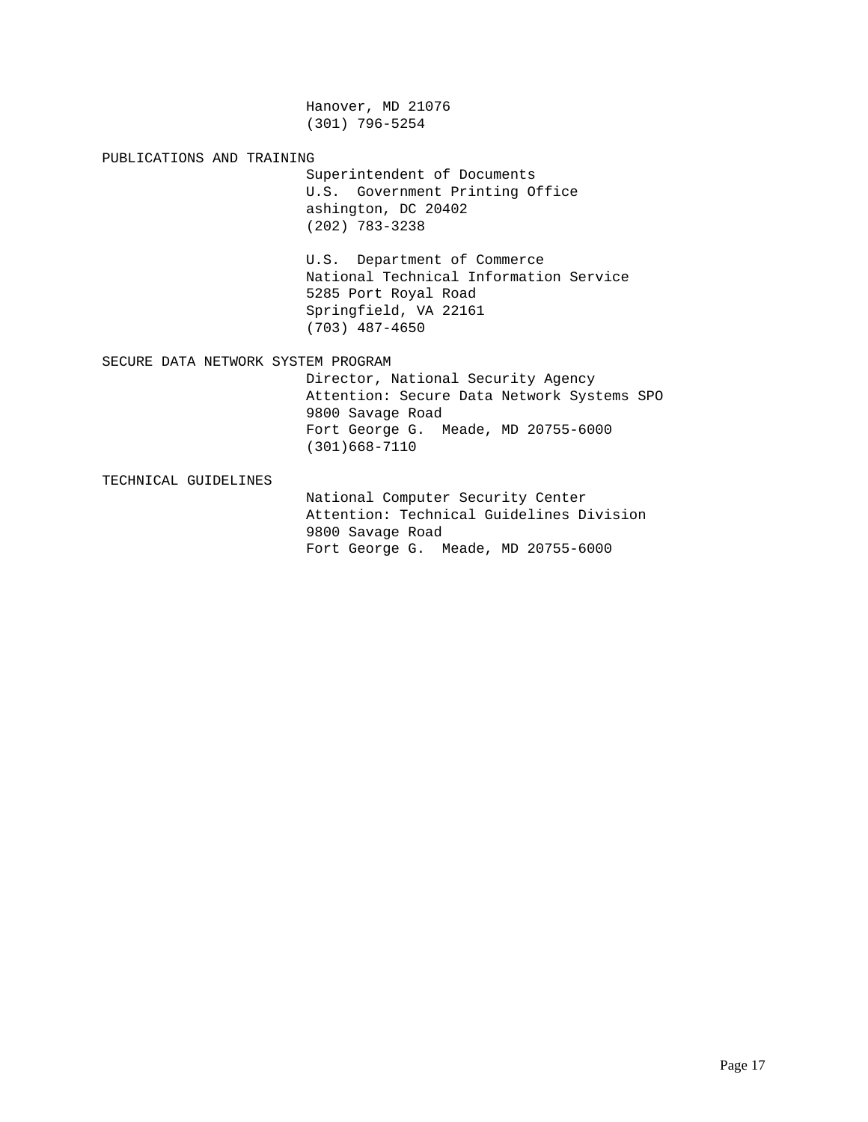Hanover, MD 21076 (301) 796-5254

PUBLICATIONS AND TRAINING

Superintendent of Documents U.S. Government Printing Office ashington, DC 20402 (202) 783-3238

U.S. Department of Commerce National Technical Information Service 5285 Port Royal Road Springfield, VA 22161 (703) 487-4650

SECURE DATA NETWORK SYSTEM PROGRAM

Director, National Security Agency Attention: Secure Data Network Systems SPO 9800 Savage Road Fort George G. Meade, MD 20755-6000 (301)668-7110

TECHNICAL GUIDELINES

National Computer Security Center Attention: Technical Guidelines Division 9800 Savage Road Fort George G. Meade, MD 20755-6000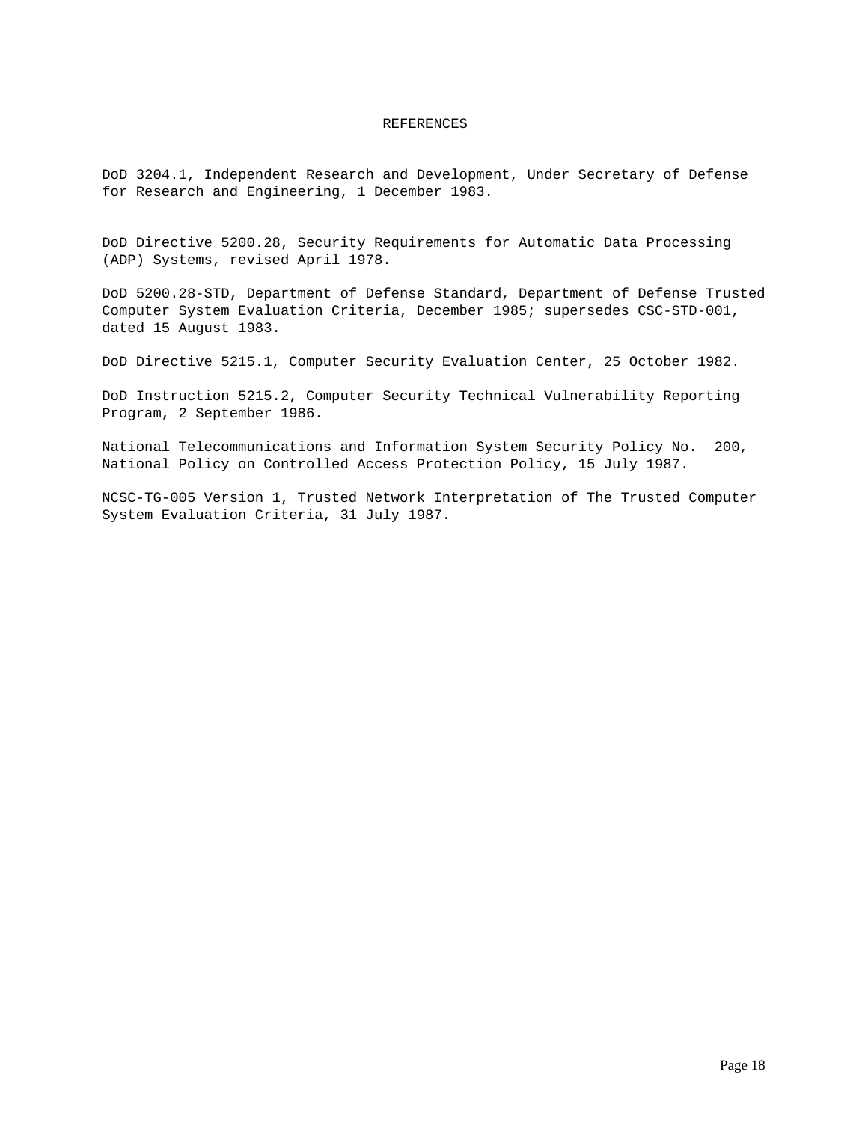# REFERENCES

DoD 3204.1, Independent Research and Development, Under Secretary of Defense for Research and Engineering, 1 December 1983.

DoD Directive 5200.28, Security Requirements for Automatic Data Processing (ADP) Systems, revised April 1978.

DoD 5200.28-STD, Department of Defense Standard, Department of Defense Trusted Computer System Evaluation Criteria, December 1985; supersedes CSC-STD-001, dated 15 August 1983.

DoD Directive 5215.1, Computer Security Evaluation Center, 25 October 1982.

DoD Instruction 5215.2, Computer Security Technical Vulnerability Reporting Program, 2 September 1986.

National Telecommunications and Information System Security Policy No. 200, National Policy on Controlled Access Protection Policy, 15 July 1987.

NCSC-TG-005 Version 1, Trusted Network Interpretation of The Trusted Computer System Evaluation Criteria, 31 July 1987.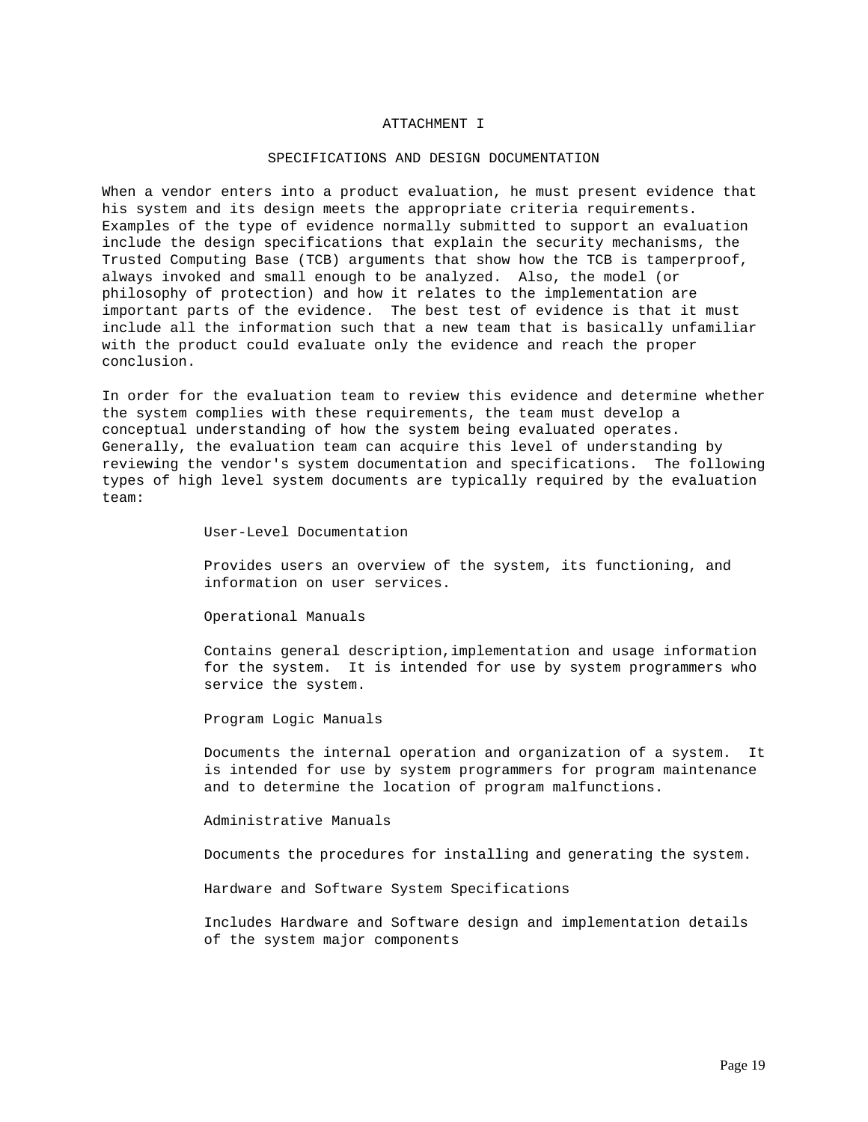### ATTACHMENT I

#### SPECIFICATIONS AND DESIGN DOCUMENTATION

When a vendor enters into a product evaluation, he must present evidence that his system and its design meets the appropriate criteria requirements. Examples of the type of evidence normally submitted to support an evaluation include the design specifications that explain the security mechanisms, the Trusted Computing Base (TCB) arguments that show how the TCB is tamperproof, always invoked and small enough to be analyzed. Also, the model (or philosophy of protection) and how it relates to the implementation are important parts of the evidence. The best test of evidence is that it must include all the information such that a new team that is basically unfamiliar with the product could evaluate only the evidence and reach the proper conclusion.

In order for the evaluation team to review this evidence and determine whether the system complies with these requirements, the team must develop a conceptual understanding of how the system being evaluated operates. Generally, the evaluation team can acquire this level of understanding by reviewing the vendor's system documentation and specifications. The following types of high level system documents are typically required by the evaluation team:

User-Level Documentation

Provides users an overview of the system, its functioning, and information on user services.

Operational Manuals

Contains general description,implementation and usage information for the system. It is intended for use by system programmers who service the system.

Program Logic Manuals

Documents the internal operation and organization of a system. It is intended for use by system programmers for program maintenance and to determine the location of program malfunctions.

Administrative Manuals

Documents the procedures for installing and generating the system.

Hardware and Software System Specifications

Includes Hardware and Software design and implementation details of the system major components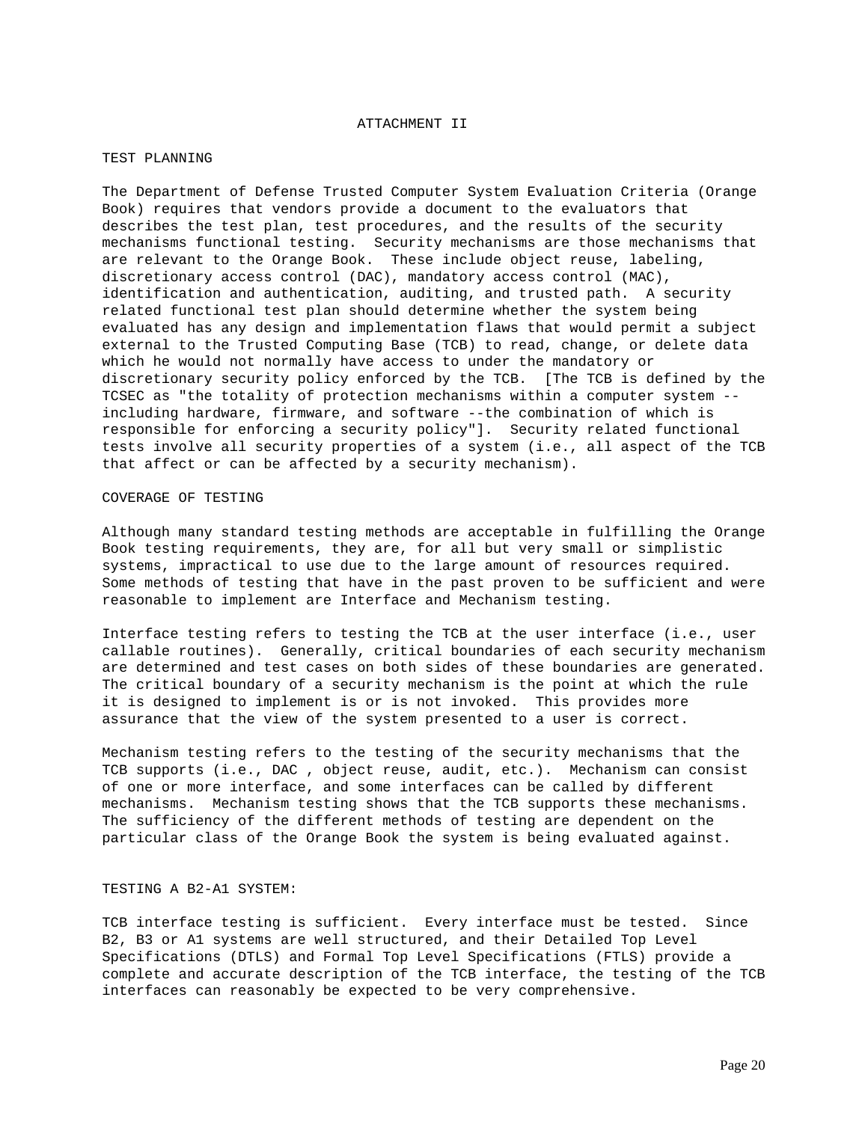#### ATTACHMENT II

#### TEST PLANNING

The Department of Defense Trusted Computer System Evaluation Criteria (Orange Book) requires that vendors provide a document to the evaluators that describes the test plan, test procedures, and the results of the security mechanisms functional testing. Security mechanisms are those mechanisms that are relevant to the Orange Book. These include object reuse, labeling, discretionary access control (DAC), mandatory access control (MAC), identification and authentication, auditing, and trusted path. A security related functional test plan should determine whether the system being evaluated has any design and implementation flaws that would permit a subject external to the Trusted Computing Base (TCB) to read, change, or delete data which he would not normally have access to under the mandatory or discretionary security policy enforced by the TCB. [The TCB is defined by the TCSEC as "the totality of protection mechanisms within a computer system - including hardware, firmware, and software --the combination of which is responsible for enforcing a security policy"]. Security related functional tests involve all security properties of a system (i.e., all aspect of the TCB that affect or can be affected by a security mechanism).

### COVERAGE OF TESTING

Although many standard testing methods are acceptable in fulfilling the Orange Book testing requirements, they are, for all but very small or simplistic systems, impractical to use due to the large amount of resources required. Some methods of testing that have in the past proven to be sufficient and were reasonable to implement are Interface and Mechanism testing.

Interface testing refers to testing the TCB at the user interface (i.e., user callable routines). Generally, critical boundaries of each security mechanism are determined and test cases on both sides of these boundaries are generated. The critical boundary of a security mechanism is the point at which the rule it is designed to implement is or is not invoked. This provides more assurance that the view of the system presented to a user is correct.

Mechanism testing refers to the testing of the security mechanisms that the TCB supports (i.e., DAC , object reuse, audit, etc.). Mechanism can consist of one or more interface, and some interfaces can be called by different mechanisms. Mechanism testing shows that the TCB supports these mechanisms. The sufficiency of the different methods of testing are dependent on the particular class of the Orange Book the system is being evaluated against.

## TESTING A B2-A1 SYSTEM:

TCB interface testing is sufficient. Every interface must be tested. Since B2, B3 or A1 systems are well structured, and their Detailed Top Level Specifications (DTLS) and Formal Top Level Specifications (FTLS) provide a complete and accurate description of the TCB interface, the testing of the TCB interfaces can reasonably be expected to be very comprehensive.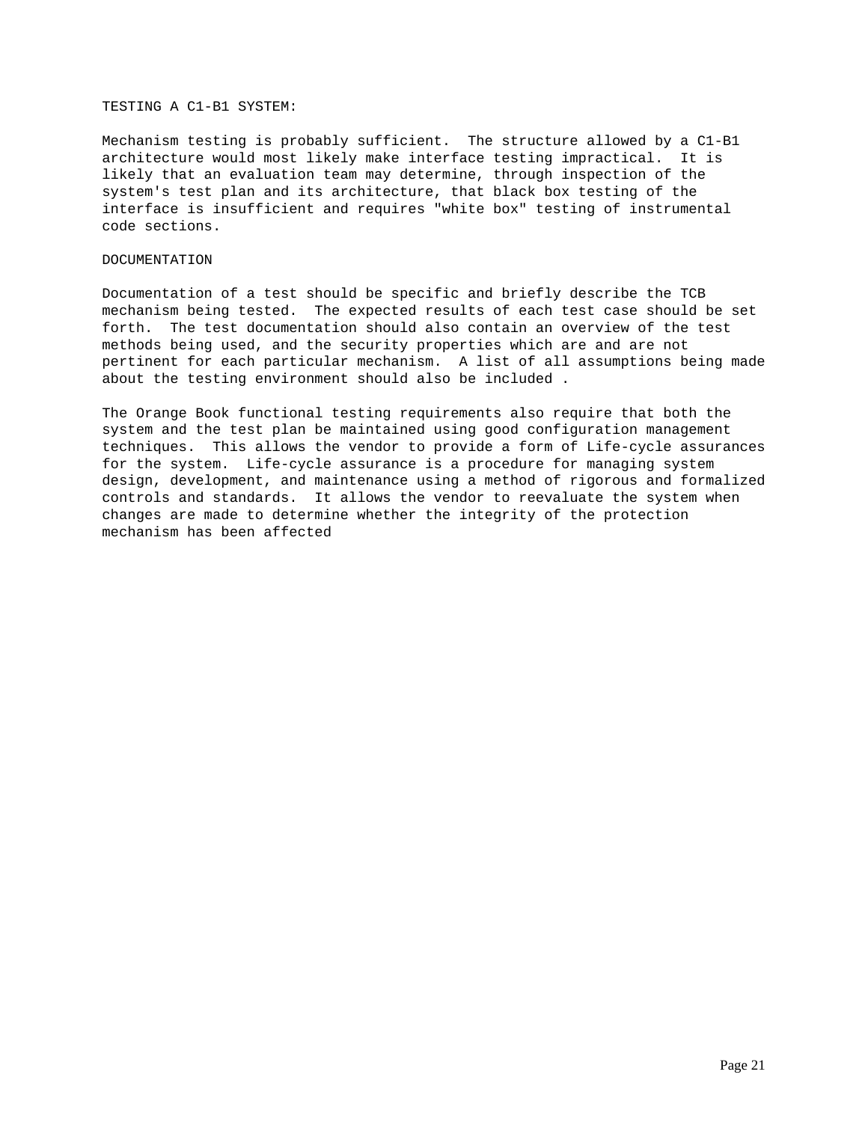## TESTING A C1-B1 SYSTEM:

Mechanism testing is probably sufficient. The structure allowed by a C1-B1 architecture would most likely make interface testing impractical. It is likely that an evaluation team may determine, through inspection of the system's test plan and its architecture, that black box testing of the interface is insufficient and requires "white box" testing of instrumental code sections.

# DOCUMENTATION

Documentation of a test should be specific and briefly describe the TCB mechanism being tested. The expected results of each test case should be set forth. The test documentation should also contain an overview of the test methods being used, and the security properties which are and are not pertinent for each particular mechanism. A list of all assumptions being made about the testing environment should also be included .

The Orange Book functional testing requirements also require that both the system and the test plan be maintained using good configuration management techniques. This allows the vendor to provide a form of Life-cycle assurances for the system. Life-cycle assurance is a procedure for managing system design, development, and maintenance using a method of rigorous and formalized controls and standards. It allows the vendor to reevaluate the system when changes are made to determine whether the integrity of the protection mechanism has been affected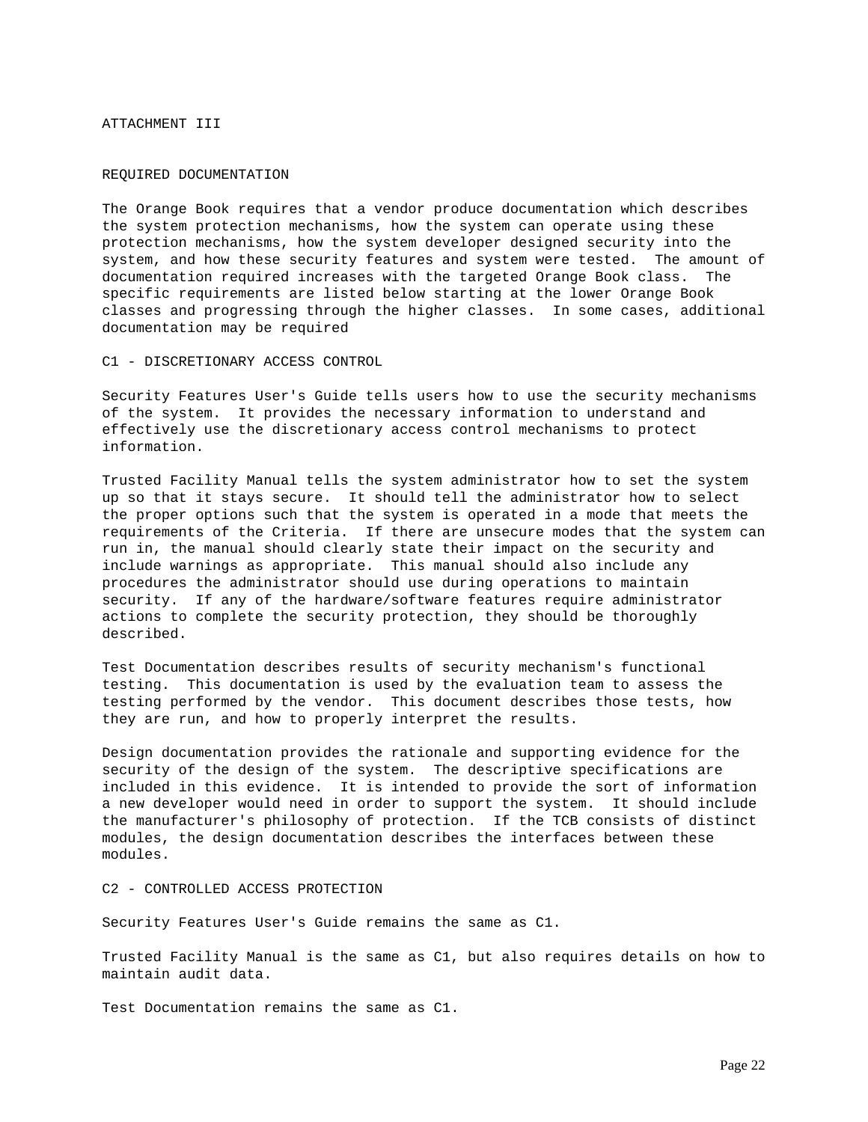ATTACHMENT III

#### REQUIRED DOCUMENTATION

The Orange Book requires that a vendor produce documentation which describes the system protection mechanisms, how the system can operate using these protection mechanisms, how the system developer designed security into the system, and how these security features and system were tested. The amount of documentation required increases with the targeted Orange Book class. The specific requirements are listed below starting at the lower Orange Book classes and progressing through the higher classes. In some cases, additional documentation may be required

#### C1 - DISCRETIONARY ACCESS CONTROL

Security Features User's Guide tells users how to use the security mechanisms of the system. It provides the necessary information to understand and effectively use the discretionary access control mechanisms to protect information.

Trusted Facility Manual tells the system administrator how to set the system up so that it stays secure. It should tell the administrator how to select the proper options such that the system is operated in a mode that meets the requirements of the Criteria. If there are unsecure modes that the system can run in, the manual should clearly state their impact on the security and include warnings as appropriate. This manual should also include any procedures the administrator should use during operations to maintain security. If any of the hardware/software features require administrator actions to complete the security protection, they should be thoroughly described.

Test Documentation describes results of security mechanism's functional testing. This documentation is used by the evaluation team to assess the testing performed by the vendor. This document describes those tests, how they are run, and how to properly interpret the results.

Design documentation provides the rationale and supporting evidence for the security of the design of the system. The descriptive specifications are included in this evidence. It is intended to provide the sort of information a new developer would need in order to support the system. It should include the manufacturer's philosophy of protection. If the TCB consists of distinct modules, the design documentation describes the interfaces between these modules.

### C2 - CONTROLLED ACCESS PROTECTION

Security Features User's Guide remains the same as C1.

Trusted Facility Manual is the same as C1, but also requires details on how to maintain audit data.

Test Documentation remains the same as C1.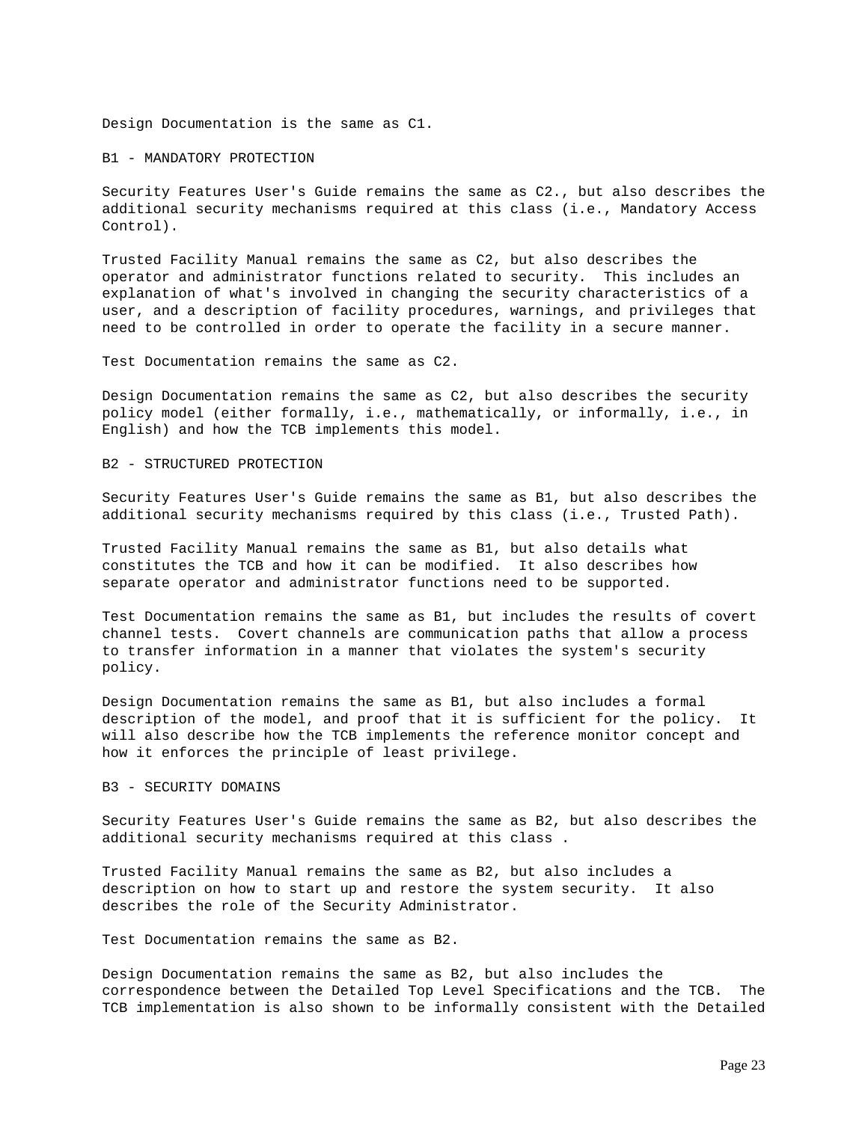Design Documentation is the same as C1.

B1 - MANDATORY PROTECTION

Security Features User's Guide remains the same as C2., but also describes the additional security mechanisms required at this class (i.e., Mandatory Access Control).

Trusted Facility Manual remains the same as C2, but also describes the operator and administrator functions related to security. This includes an explanation of what's involved in changing the security characteristics of a user, and a description of facility procedures, warnings, and privileges that need to be controlled in order to operate the facility in a secure manner.

Test Documentation remains the same as C2.

Design Documentation remains the same as C2, but also describes the security policy model (either formally, i.e., mathematically, or informally, i.e., in English) and how the TCB implements this model.

## B2 - STRUCTURED PROTECTION

Security Features User's Guide remains the same as B1, but also describes the additional security mechanisms required by this class (i.e., Trusted Path).

Trusted Facility Manual remains the same as B1, but also details what constitutes the TCB and how it can be modified. It also describes how separate operator and administrator functions need to be supported.

Test Documentation remains the same as B1, but includes the results of covert channel tests. Covert channels are communication paths that allow a process to transfer information in a manner that violates the system's security policy.

Design Documentation remains the same as B1, but also includes a formal description of the model, and proof that it is sufficient for the policy. It will also describe how the TCB implements the reference monitor concept and how it enforces the principle of least privilege.

## B3 - SECURITY DOMAINS

Security Features User's Guide remains the same as B2, but also describes the additional security mechanisms required at this class .

Trusted Facility Manual remains the same as B2, but also includes a description on how to start up and restore the system security. It also describes the role of the Security Administrator.

Test Documentation remains the same as B2.

Design Documentation remains the same as B2, but also includes the correspondence between the Detailed Top Level Specifications and the TCB. The TCB implementation is also shown to be informally consistent with the Detailed